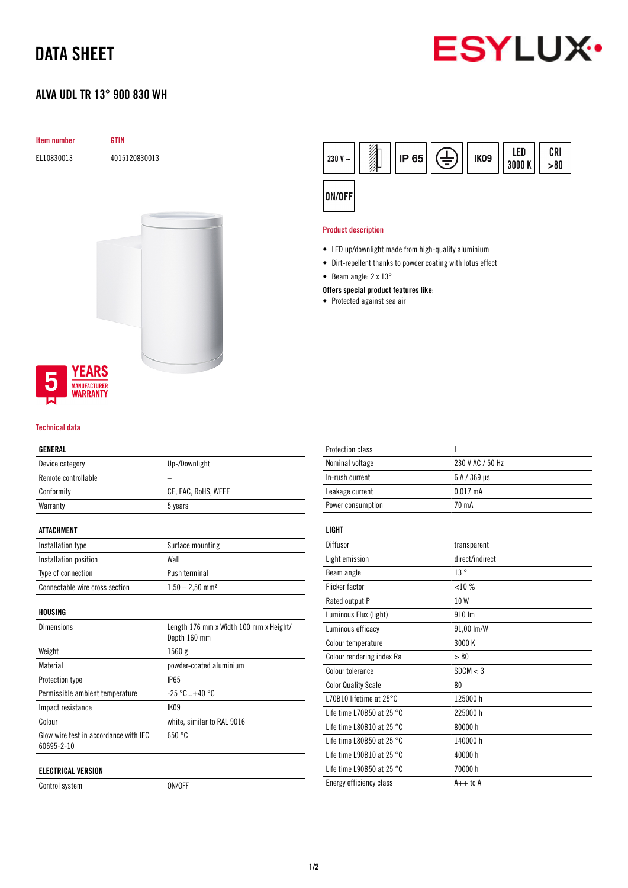## DATA SHEET

### ALVA UDL TR 13° 900 830 WH



# Item number GTIN EL10830013 4015120830013



#### Technical data

#### GENERAL

| Device category     | Up-/Downlight       |
|---------------------|---------------------|
| Remote controllable |                     |
| Conformity          | CE, EAC, RoHS, WEEE |
| Warranty            | 5 years             |
|                     |                     |

#### ATTACHMENT

| Installation type              | Surface mounting              |
|--------------------------------|-------------------------------|
| Installation position          | Wall                          |
| Type of connection             | Push terminal                 |
| Connectable wire cross section | $1,50 - 2,50$ mm <sup>2</sup> |

HOUSING

| <b>Dimensions</b>                                   | Length 176 mm x Width 100 mm x Height/<br>Depth 160 mm |
|-----------------------------------------------------|--------------------------------------------------------|
| Weight                                              | 1560g                                                  |
| Material                                            | powder-coated aluminium                                |
| Protection type                                     | <b>IP65</b>                                            |
| Permissible ambient temperature                     | $-25 °C+40 °C$                                         |
| Impact resistance                                   | <b>IK09</b>                                            |
| Colour                                              | white, similar to RAL 9016                             |
| Glow wire test in accordance with IEC<br>60695-2-10 | 650 °C                                                 |
| <b>ELECTRICAL VERSION</b>                           |                                                        |

Control system ON/OFF



#### Product description

- LED up/downlight made from high-quality aluminium
- Dirt-repellent thanks to powder coating with lotus effect
- Beam angle: 2 x 13°

#### Offers special product features like:

• Protected against sea air

| <b>Protection class</b>             | ı                |
|-------------------------------------|------------------|
| Nominal voltage                     | 230 V AC / 50 Hz |
| In-rush current                     | 6 A / 369 µs     |
| Leakage current                     | $0.017$ mA       |
| Power consumption                   | 70 mA            |
| LIGHT                               |                  |
|                                     |                  |
| Diffusor                            | transparent      |
| Light emission                      | direct/indirect  |
| Beam angle                          | 13°              |
| <b>Flicker factor</b>               | <10%             |
| Rated output P                      | 10W              |
| Luminous Flux (light)               | 910 Im           |
| Luminous efficacy                   | 91,00 lm/W       |
| Colour temperature                  | 3000 K           |
| Colour rendering index Ra           | > 80             |
| Colour tolerance                    | SDCM < 3         |
| <b>Color Quality Scale</b>          | 80               |
| L70B10 lifetime at 25°C             | 125000 h         |
| Life time L70B50 at 25 $^{\circ}$ C | 225000 h         |
| Life time L80B10 at 25 $^{\circ}$ C | 80000 h          |
| Life time L80B50 at 25 $^{\circ}$ C | 140000 h         |
| Life time L90B10 at 25 $^{\circ}$ C | 40000 h          |
| Life time L90B50 at 25 $^{\circ}$ C | 70000 h          |
| Energy efficiency class             | $A++$ to $A$     |
|                                     |                  |